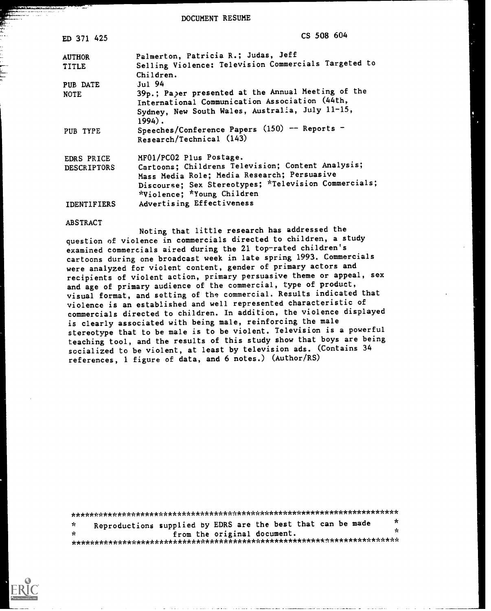DOCUMENT RESUME

| ED 371 425                       | CS 508 604                                                                                                                                                                                                        |
|----------------------------------|-------------------------------------------------------------------------------------------------------------------------------------------------------------------------------------------------------------------|
| <b>AUTHOR</b>                    | Palmerton, Patricia R.; Judas, Jeff                                                                                                                                                                               |
| <b>TITLE</b>                     | Selling Violence: Television Commercials Targeted to<br>Children.                                                                                                                                                 |
| PUB DATE                         | Jul 94                                                                                                                                                                                                            |
| <b>NOTE</b>                      | 39p.; Paper presented at the Annual Meeting of the<br>International Communication Association (44th,                                                                                                              |
|                                  | Sydney, New South Wales, Australia, July 11-15,<br>$1994$ .                                                                                                                                                       |
| PUB TYPE                         | Speeches/Conference Papers (150) -- Reports -<br>Research/Technical (143)                                                                                                                                         |
| EDRS PRICE<br><b>DESCRIPTORS</b> | MF01/PC02 Plus Postage.<br>Cartoons; Childrens Television; Content Analysis;<br>Mass Media Role; Media Research; Persuasive<br>Discourse; Sex Stereotypes; *Television Commercials;<br>*Violence; *Young Children |
| <b>IDENTIFIERS</b>               | Advertising Effectiveness                                                                                                                                                                                         |

#### ABSTRACT

Noting that little research has addressed the question of violence in commercials directed to children, a study examined commercials aired during the 21 top-rated children's cartoons during one broadcast week in late spring 1993. Commercials were analyzed for violent content, gender of primary actors and recipients of violent action, primary persuasive theme or appeal, sex and age of primary audience of the commercial, type of product, visual format, and setting of the commercial. Results indicated that violence is an established and well represented characteristic of commercials directed to children. In addition, the violence displayed is clearly associated with being male, reinforcing the male stereotype that to be male is to be violent. Television is a powerful teaching tool, and the results of this study show that boys are being socialized to be violent, at least by television ads. (Contains 34 references, 1 figure of data, and 6 notes.) (Author/RS)

| -de- | Reproductions supplied by EDRS are the best that can be made | $\star$ |  |  |  |
|------|--------------------------------------------------------------|---------|--|--|--|
| - sk | from the original document.                                  | ×       |  |  |  |
|      |                                                              |         |  |  |  |

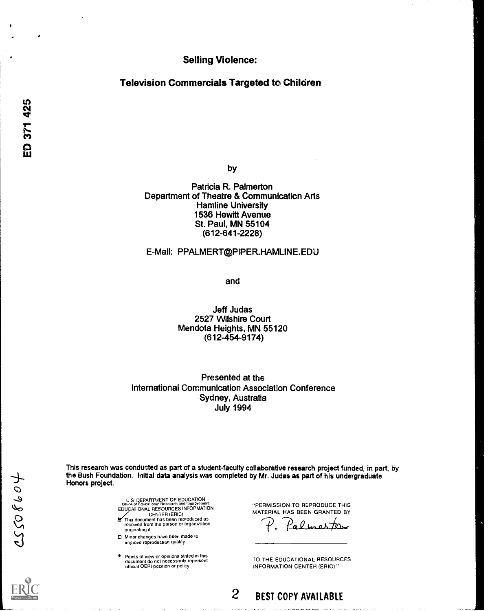Selling Violence:

Television Commercials Targeted to Children

by

Patricia R. Palmerton Department of Theatre & Communication Arts **Hamline University** 1536 Hewitt Avenue St. Paul, MN 55104 (612-641-2228)

## E-Mail: PPALMERT@PIPER.HAMLINE.EDU

and

Jeff Judas 2527 Wilshire Court Mendota Heights, MN 55120 (612-454-9174)

Presented at the International Communication Association Conference Sydney, Australia July 1994

This research was conducted as part of a student-faculty collaborative research project funded, in part, by the Bush Foundation. Initial data analysis was completed by Mr. Judas as part of his undergraduate Honors project.

US DEPARTMENT OF EDUCATION<br>Office of Educational Research and Improvement<br>EDUCATIONAL RESOURCES INFOPMATION

- CENTER (ERIC)<br>This document has been reproduced as<br>received from the person or organization originating it
- CI Minor changes have been made to improve reproduction quality
- Points of view or opinions stated in this<br>document do not necessarily represent<br>official OERI position or policy

"PERMISSION TO REPRODUCE THIS MATERIAL HAS BEEN GRANTED BY

 $\Omega_2/\Omega_3$ 

1.0 THE EDUCATIONAL RESOURCES INFORMATION CENTER (ERIC)"

2 BEST COPY AVAILABLE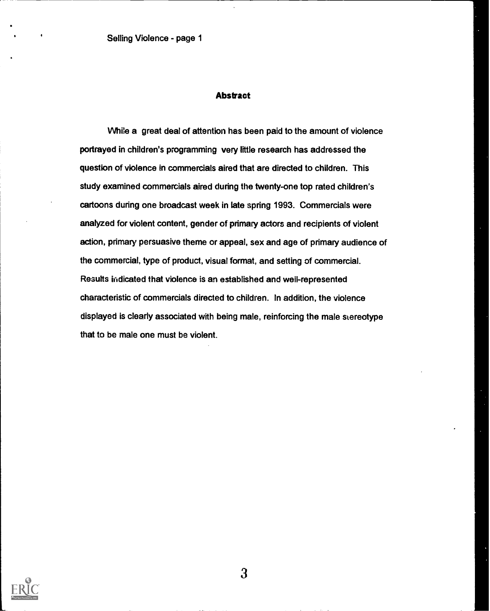## **Abstract**

While a great deal of attention has been paid to the amount of violence portrayed in children's programming very little research has addressed the question of violence in commercials aired that are directed to children. This study examined commercials aired during the twenty-one top rated children's cartoons during one broadcast week in late spring 1993. Commercials were analyzed for violent content, gender of primary actors and recipients of violent action, primary persuasive theme or appeal, sex and age of primary audience of the commercial, type of product, visual format, and setting of commercial. Results indicated that violence is an established and well-represented characteristic of commercials directed to children. In addition, the violence displayed is clearly associated with being male, reinforcing the male stereotype that to be male one must be violent.

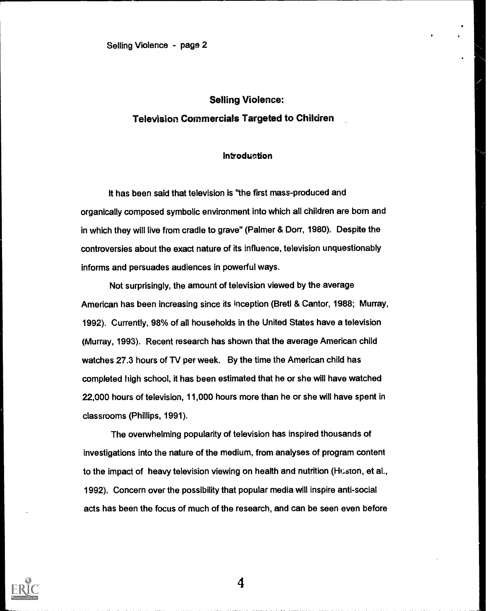## Selling Violence: Television Commercials Targeted to Children

## **introduction**

It has been said that television is "the first mass-produced and organically composed symbolic environment into which all children are born and in which they will live from cradle to grave" (Palmer & Dorr, 1980). Despite the controversies about the exact nature of its influence, television unquestionably informs and persuades audiences in powerful ways.

Not surprisingly, the amount of television viewed by the average American has been increasing since its inception (Bretl & Cantor, 1988; Murray, 1992). Currently, 98% of all households in the United States have a television (Murray, 1993). Recent research has shown that the average American child watches 27.3 hours of TV per week. By the time the American child has completed high school, it has been estimated that he or she will have watched 22,000 hours of television, 11,000 hours more than he or she will have spent in classrooms (Phillips, 1991).

The overwhelming popularity of television has inspired thousands of investigations into the nature of the medium, from analyses of program content to the impact of heavy television viewing on health and nutrition (Huston, et al., 1992). Concern over the possibility that popular media will inspire anti-social acts has been the focus of much of the research, and can be seen even before

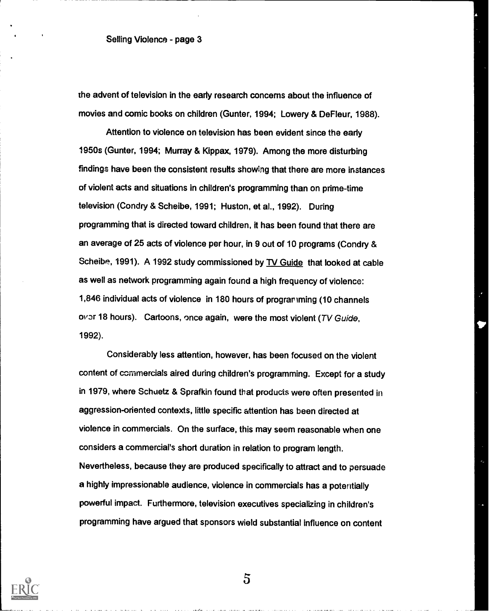the advent of television in the early research concerns about the influence of movies and comic books on children (Gunter, 1994; Lowery & De Fleur, 1988).

Attention to violence on television has been evident since the early 1950s (Gunter, 1994; Murray & Kippax, 1979). Among the more disturbing findings have been the consistent results showing that there are more instances of violent acts and situations in children's programming than on prime-time television (Condry & Scheibe, 1991; Huston, et al., 1992). During programming that is directed toward children, it has been found that there are an average of 25 acts of violence per hour, in 9 out of 10 programs (Condry & Scheibe, 1991). A 1992 study commissioned by TV Guide that looked at cable as well as network programming again found a high frequency of violence: 1,846 individual acts of violence in 180 hours of programming (10 channels over 18 hours). Cartoons, once again, were the most violent (TV Guide, 1992).

Considerably less attention, however, has been focused on the violent content of commercials aired during children's programming. Except for a study in 1979, where Schuetz & Sprafkin found that products were often presented in aggression-oriented contexts, little specific attention has been directed at violence in commercials. On the surface, this may seem reasonable when one considers a commercial's short duration in relation to program length. Nevertheless, because they are produced specifically to attract and to persuade a highly impressionable audience, violence in commercials has a potentially powerful impact. Furthermore, television executives specializing in children's programming have argued that sponsors wield substantial influence on content

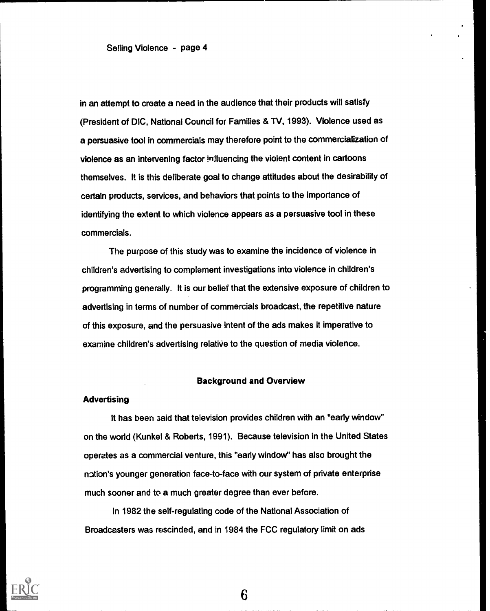in an attempt to create a need in the audience that their products will satisfy (President of DIC, National Council for Families & TV, 1993). Violence used as a persuasive tool in commercials may therefore point to the commercialization of violence as an intervening factor influencing the violent content in cartoons themselves. It is this deliberate goal to change attitudes about the desirability of certain products, services, and behaviors that points to the importance of identifying the extent to which violence appears as a persuasive tool in these commercials.

The purpose of this study was to examine the incidence of violence in children's advertising to complement investigations into violence in children's programming generally. It is our belief that the extensive exposure of children to advertising in terms of number of commercials broadcast, the repetitive nature of this exposure, and the persuasive intent of the ads makes it imperative to examine children's advertising relative to the question of media violence.

#### Background and Overview

### **Advertising**

It has been said that television provides children with an "early window" on the world (Kunkel & Roberts, 1991). Because television in the United States operates as a commercial venture, this "early window" has also brought the nation's younger generation face-to-face with our system of private enterprise much sooner and to a much greater degree than ever before.

In 1982 the self-regulating code of the National Association of Broadcasters was rescinded, and in 1984 the FCC regulatory limit on ads

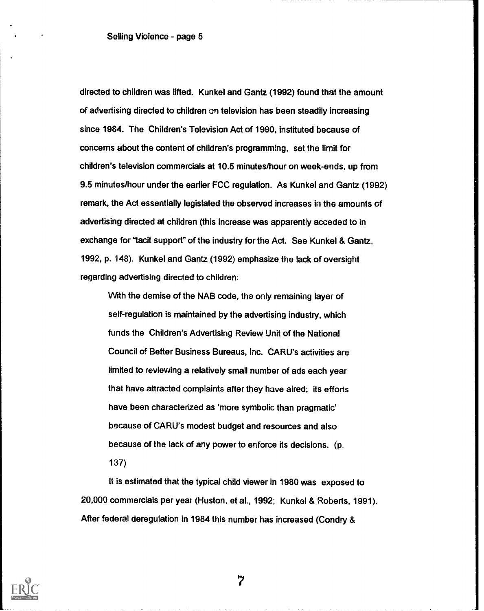directed to children was lifted. Kunkel and Gantz (1992) found that the amount of advertising directed to children cn television has been steadily increasing since 1984. The Children's Television Act of 1990, instituted because of concerns about the content of children's programming, set the limit for children's television commercials at 10.5 minutes/hour on week-ends, up from 9.5 minutes/hour under the earlier FCC regulation. As Kunkel and Gantz (1992) remark, the Act essentially legislated the observed increases in the amounts of advertising directed at children (this increase was apparently acceded to in exchange for "tacit support" of the industry for the Act. See Kunkel & Gantz, 1992, p. 148). Kunkel and Gantz (1992) emphasize the lack of oversight regarding advertising directed to children:

With the demise of the NAB code, the only remaining layer of self-regulation is maintained by the advertising industry, which funds the Children's Advertising Review Unit of the National Council of Better Business Bureaus, Inc. CARU's activities are limited to reviewing a relatively small number of ads each year that have attracted complaints after they have aired; its efforts have been characterized as 'more symbolic than pragmatic' because of CARU's modest budget and resources and also because of the lack of any power to enforce its decisions. (p. 137)

It is estimated that the typical child viewer in 1980 was exposed to 20,000 commercials per yea! (Huston, et al., 1992; Kunkel & Roberts, 1991). After federal deregulation in 1984 this number has increased (Condry &

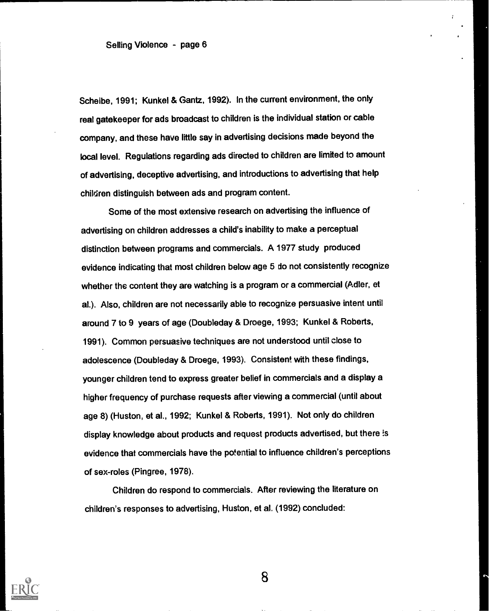Scheibe, 1991; Kunkel & Gantz, 1992). In the current environment, the only real gatekeeper for ads broadcast to children is the individual station or cable company, and these have little say in advertising decisions made beyond the local level. Regulations regarding ads directed to children are limited to amount of advertising, deceptive advertising, and introductions to advertising that help children distinguish between ads and program content.

Some of the most extensive research on advertising the influence of advertising on children addresses a child's inability to make a perceptual distinction between programs and commercials. A 1977 study produced evidence indicating that most children below age 5 do not consistently recognize whether the content they are watching is a program or a commercial (Adler, et al.). Also, children are not necessarily able to recognize persuasive intent until around 7 to 9 years of age (Doubleday & Droege, 1993; Kunkel & Roberts, 1991). Common persuasive techniques are not understood until close to adolescence (Doubleday & Droege, 1993). Consistent with these findings, younger children tend to express greater belief in commercials and a display a higher frequency of purchase requests after viewing a commercial (until about age 8) (Huston, et al., 1992; Kunkel & Roberts, 1991). Not only do children display knowledge about products and request products advertised, but there is evidence that commercials have the potential to influence children's perceptions of sex-roles (Pingree, 1978).

Children do respond to commercials. After reviewing the literature on children's responses to advertising, Huston, et al. (1992) concluded:

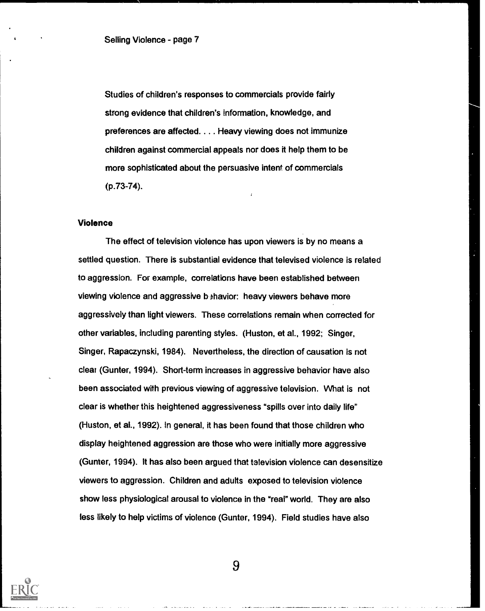Studies of children's responses to commercials provide fairly strong evidence that children's information, knowledge, and preferences are affected. . . . Heavy viewing does not immunize children against commercial appeals nor does it help them to be more sophisticated about the persuasive intent of commercials (p.73-74).

## Violence

The effect of television violence has upon viewers is by no means a settled question. There is substantial evidence that televised violence is related to aggression. For example, correlations have been established between viewing violence and aggressive behavior: heavy viewers behave more aggressively than light viewers. These correlations remain when corrected for other variables, including parenting styles. (Huston, et al., 1992; Singer, Singer, Rapaczynski, 1984). Nevertheless, the direction of causation is not clear (Gunter, 1994). Short-term increases in aggressive behavior have also been associated with previous viewing of aggressive television. What is not clear is whether this heightened aggressiveness "spills over into daily life" (Huston, et al., 1992). In general, it has been found that those children who display heightened aggression are those who were initially more aggressive (Gunter, 1994). It has also been argued that television violence can desensitize viewers to aggression. Children and adults exposed to television violence show less physiological arousal to violence in the "real" world. They are also less likely to help victims of violence (Gunter, 1994). Field studies have also

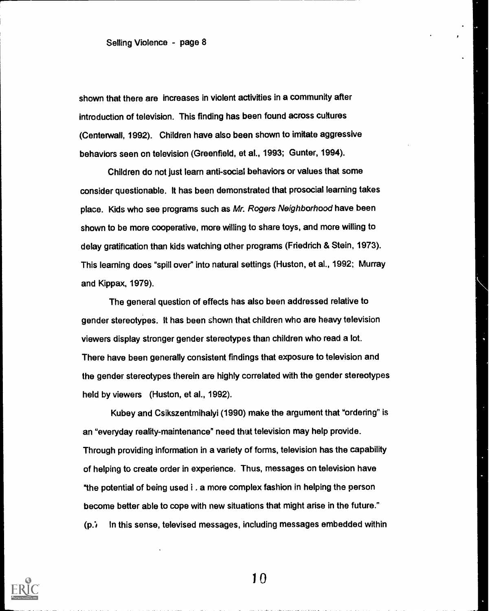shown that there are increases in violent activities in a community after introduction of television. This finding has been found across cultures (Centerwall, 1992). Children have also been shown to imitate aggressive behaviors seen on television (Greenfield, et al., 1993; Gunter, 1994).

Children do not just learn anti-social behaviors or values that some consider questionable. It has been demonstrated that prosocial learning takes place. Kids who see programs such as Mr. Rogers Neighborhood have been shown to be more cooperative, more willing to share toys, and more willing to delay gratification than kids watching other programs (Friedrich & Stein, 1973). This learning does "spill over" into natural settings (Huston, et al., 1992; Murray and Kippax, 1979).

The general question of effects has also been addressed relative to gender stereotypes. It has been shown that children who are heavy television viewers display stronger gender stereotypes than children who read a lot. There have been generally consistent findings that exposure to television and the gender stereotypes therein are highly correlated with the gender stereotypes held by viewers (Huston, et al., 1992).

Kubey and Csikszentmihalyi (1990) make the argument that "ordering" is an "everyday reality-maintenance" need that television may help provide. Through providing information in a variety of forms, television has the capability of helping to create order in experience. Thus, messages on television have "the potential of being used i . a more complex fashion in helping the person become better able to cope with new situations that might arise in the future."  $(p_i)$  In this sense, televised messages, including messages embedded within

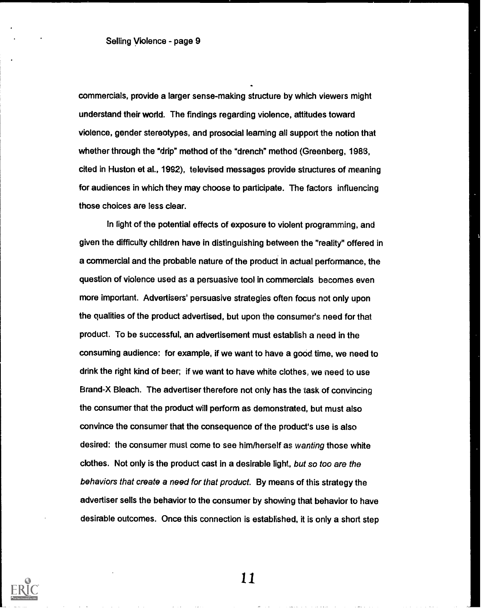commercials, provide a larger sense-making structure by which viewers might understand their world. The findings regarding violence, attitudes toward violence, gender stereotypes, and prosocial learning all support the notion that whether through the "drip" method of the "drench" method (Greenberg, 1983, cited in Huston et al., 1992), televised messages provide structures of meaning for audiences in which they may choose to participate. The factors influencing those choices are less clear.

In light of the potential effects of exposure to violent programming, and given the difficulty children have in distinguishing between the "reality" offered in a commercial and the probable nature of the product in actual performance, the question of violence used as a persuasive tool in commercials becomes even more important. Advertisers' persuasive strategies often focus not only upon the qualities of the product advertised, but upon the consumer's need for that product. To be successful, an advertisement must establish a need in the consuming audience: for example, if we want to have a good time, we need to drink the right kind of beer; if we want to have white clothes, we need to use Brand-X Bleach. The advertiser therefore not only has the task of convincing the consumer that the product will perform as demonstrated, but must also convince the consumer that the consequence of the product's use is also desired: the consumer must come to see him/herself as wanting those white clothes. Not only is the product cast in a desirable light, but so too are the behaviors that create a need for that product. By means of this strategy the advertiser sells the behavior to the consumer by showing that behavior to have desirable outcomes. Once this connection is established, it is only a short step

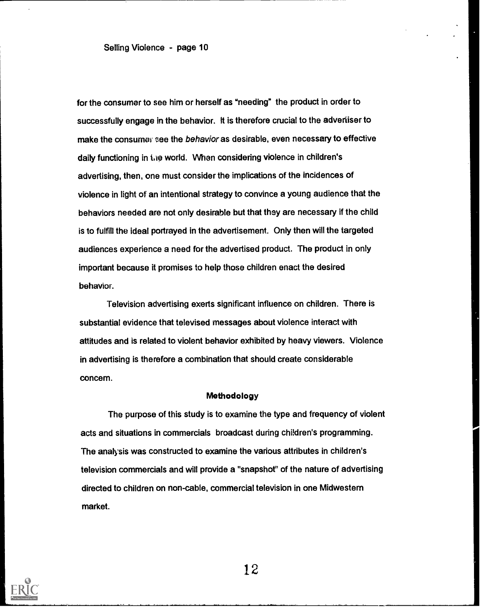for the consumer to see him or herself as "needing" the product in order to successfully engage in the behavior. It is therefore crucial to the advertiser to make the consumer see the behavior as desirable, even necessary to effective daily functioning in the world. When considering violence in children's advertising, then, one must consider the implications of the incidences of violence in light of an intentional strategy to convince a young audience that the behaviors needed are not only desirable but that they are necessary if the child is to fulfill the ideal portrayed in the advertisement. Only then will the targeted audiences experience a need for the advertised product. The product in only important because it promises to help those children enact the desired behavior.

Television advertising exerts significant influence on children. There is substantial evidence that televised messages about violence interact with attitudes and is related to violent behavior exhibited by heavy viewers. Violence in advertising is therefore a combination that should create considerable concern.

### Methodology

The purpose of this study is to examine the type and frequency of violent acts and situations in commercials broadcast during children's programming. The analysis was constructed to examine the various attributes in children's television commercials and will provide a "snapshot" of the nature of advertising directed to children on non-cable, commercial television in one Midwestern market.

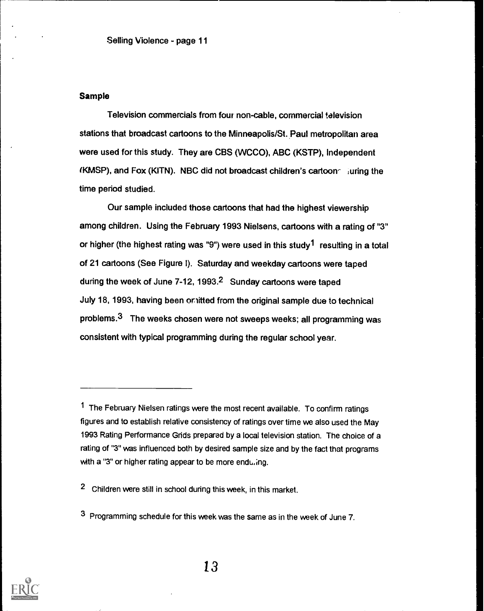## Sample

Television commercials from four non-cable, commercial television stations that broadcast cartoons to the Minneapolis/St. Paul metropolitan area were used for this study. They are CBS (WCCO), ABC (KSTP), Independent  $(KMSP)$ , and Fox (KITN). NBC did not broadcast children's cartoon  $\sim$  juring the time period studied.

Our sample included those cartoons that had the highest viewership among children. Using the February 1993 Nielsens, cartoons with a rating of "3" or higher (the highest rating was "9") were used in this study<sup>1</sup> resulting in a total of 21 cartoons (See Figure l). Saturday and weekday cartoons were taped during the week of June 7-12, 1993.2 Sunday cartoons were taped July 18, 1993, having been onitted from the original sample due to technical problems.3 The weeks chosen were not sweeps weeks; all programming was consistent with typical programming during the regular school year.



<sup>1</sup> The February Nielsen ratings were the most recent available. To confirm ratings figures and to establish relative consistency of ratings over time we also used the May 1993 Rating Performance Grids prepared by a local television station. The choice of a rating of "3" was influenced both by desired sample size and by the fact that programs with a "3" or higher rating appear to be more enduling.

<sup>2</sup> Children were still in school during this week, in this market.

<sup>3</sup> Programming schedule for this week was the same as in the week of June 7.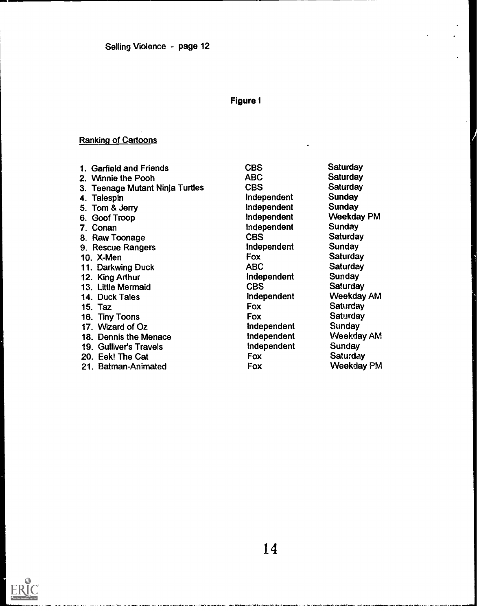## Figure I

# Ranking of Cartoons

| 1. Garfield and Friends         | <b>CBS</b>         | Saturday        |
|---------------------------------|--------------------|-----------------|
| 2. Winnie the Pooh              | <b>ABC</b>         | <b>Saturday</b> |
| 3. Teenage Mutant Ninja Turtles | <b>CBS</b>         | <b>Saturday</b> |
| 4. Talespin                     | Independent        | Sunday          |
| 5. Tom & Jerry                  | Independent        | Sunday          |
| 6. Goof Troop                   | Independent        | Weekday PM      |
| 7. Conan                        | Independent        | Sunday          |
| 8. Raw Toonage                  | <b>CBS</b>         | <b>Saturday</b> |
| 9. Rescue Rangers               | Independent        | Sunday          |
| 10. X-Men                       | Fox                | Saturday        |
| 11. Darkwing Duck               | <b>ABC</b>         | <b>Saturday</b> |
| 12. King Arthur                 | Independent        | Sunday          |
| 13. Little Mermaid              | <b>CBS</b>         | <b>Saturday</b> |
| 14. Duck Tales                  | Independent        | Weekday AM      |
| 15. Taz                         | Fox                | <b>Saturday</b> |
| 16. Tiny Toons                  | Fox                | Saturday        |
| 17. Wizard of Oz                | <b>Independent</b> | Sunday          |
| 18. Dennis the Menace           | Independent        | Weekday AM      |
| <b>19. Gulliver's Travels</b>   | Independent        | Sunday          |
| 20. Eek! The Cat                | Fox                | <b>Saturday</b> |
| 21. Batman-Animated             | Fox                | Weekday PM      |

EF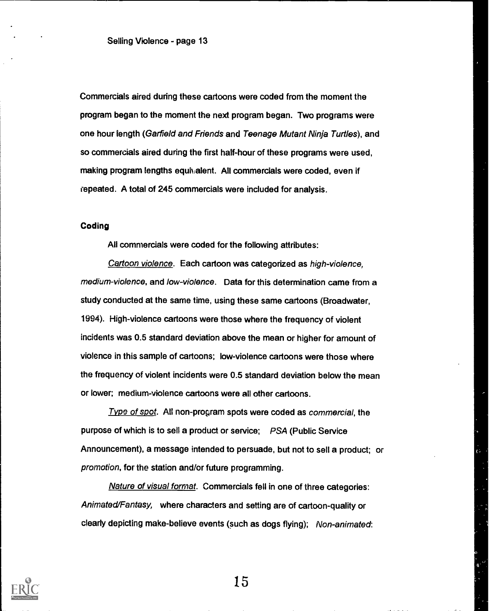Commercials aired during these cartoons were coded from the moment the program began to the moment the next program began. Two programs were one hour length (Garfield and Friends and Teenage Mutant Ninja Turtles), and so commercials aired during the first half-hour of these programs were used, making program lengths equivalent. All commercials were coded, even if repeated. A total of 245 commercials were included for analysis.

### Coding

All commercials were coded for the following attributes:

Cartoon violence. Each cartoon was categorized as high-violence, medium-violence, and low-violence. Data for this determination came from a study conducted at the same time, using these same cartoons (Broadwater, 1994). High-violence cartoons were those where the frequency of violent incidents was 0.5 standard deviation above the mean or higher for amount of violence in this sample of cartoons; low-violence cartoons were those where the frequency of violent incidents were 0.5 standard deviation below the mean or lower; medium-violence cartoons were all other cartoons.

Type of spot. All non-program spots were coded as commercial, the purpose of which is to sell a product or service; PSA (Public Service Announcement), a message intended to persuade, but not to sell a product; or promotion, for the station and/or future programming.

Nature of visual format. Commercials fell in one of three categories: Animated/Fantasy, where characters and setting are of cartoon-quality or clearly depicting make-believe events (such as dogs flying); Non-animated:

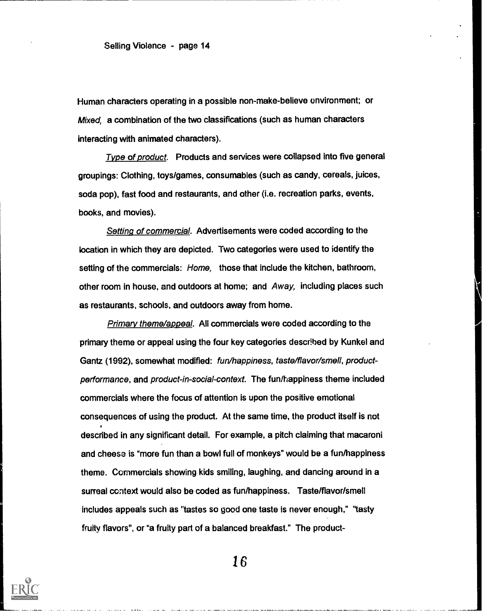Human characters operating in a possible non-make-believe environment; or Mixed, a combination of the two classifications (such as human characters interacting with animated characters).

Type of product. Products and services were collapsed into five general groupings: Clothing, toys/games, consumables (such as candy, cereals, juices, soda pop), fast food and restaurants, and other (i.e. recreation parks, events, books, and movies).

Setting of commercial. Advertisements were coded according to the location in which they are depicted. Two categories were used to identify the setting of the commercials: Home, those that include the kitchen, bathroom, other room in house, and outdoors at home; and Away, including places such as restaurants, schools, and outdoors away from home.

Primary theme/appeal. All commercials were coded according to the primary theme or appeal using the four key categories described by Kunkel and Gantz (1992), somewhat modified: fun/happiness, taste/flayor/smell, productperformance, and product-in-social-context. The fun/happiness theme included commercials where the focus of attention is upon the positive emotional consequences of using the product. At the same time, the product itself is not described in any significant detail. For example, a pitch claiming that macaroni and cheese is "more fun than a bowl full of monkeys" would be a fun/happiness theme. Commercials showing kids smiling, laughing, and dancing around in a surreal context would also be coded as fun/happiness. Taste/flavor/smell includes appeals such as "tastes so good one taste is never enough," "tasty fruity flavors", or "a fruity part of a balanced breakfast." The product-

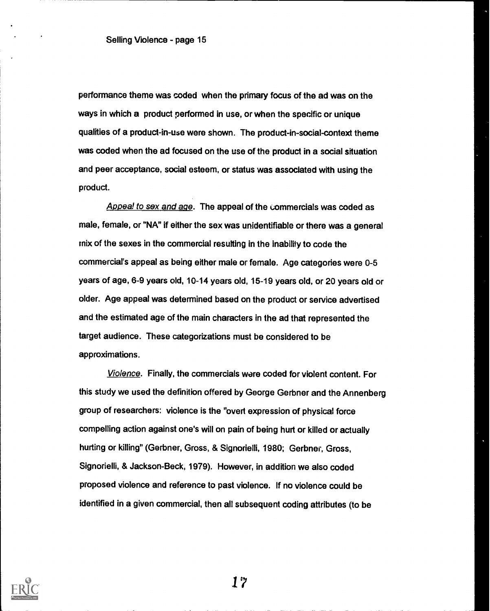performance theme was coded when the primary focus of the ad was on the ways in which a product performed in use, or when the specific or unique qualities of a product-in-use were shown. The product-in-social-context theme was coded when the ad focused on the use of the product in a social situation and peer acceptance, social esteem, or status was associated with using the product.

Appeal to sex and age. The appeal of the commercials was coded as male, female, or "NA" if either the sex was unidentifiable or there was a general mix of the sexes in the commercial resulting in the inability to code the commercial's appeal as being either male or female. Age categories were 0-5 years of age, 6-9 years old, 10-14 years old, 16-19 years old, or 20 years old or older. Age appeal was determined based on the product or service advertised and the estimated age of the main characters in the ad that represented the target audience. These categorizations must be considered to be approximations.

Violence. Finally, the commercials ware coded for violent content. For this study we used the definition offered by George Gerbner and the Annenberg group of researchers: violence is the "overt expression of physical force compelling action against one's will on pain of being hurt or killed or actually hurting or killing" (Gerbner, Gross, & Signorielli, 1980; Gerbner, Gross, Signorielli, & Jackson-Beck, 1979). However, in addition we also coded proposed violence and reference to past violence. If no violence could be identified in a given commercial, then all subsequent coding attributes (to be

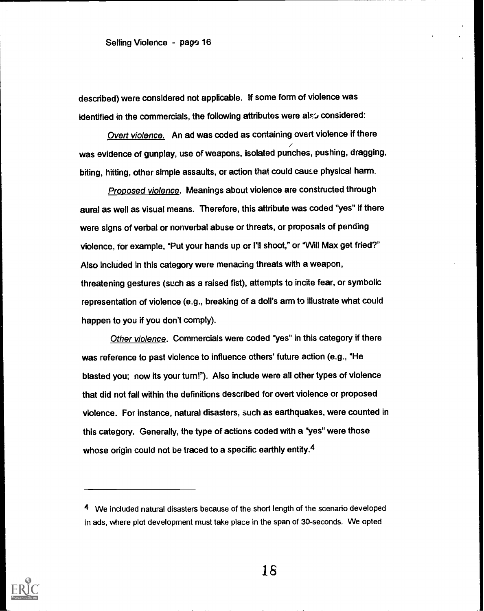described) were considered not applicable. If some form of violence was identified in the commercials, the following attributes were also considered:

Overt violence. An ad was coded as containing overt violence if there was evidence of gunplay, use of weapons, isolated punches, pushing, dragging, biting, hitting, other simple assaults, or action that could cause physical harm.

Proposed violence. Meanings about violence are constructed through aural as well as visual means. Therefore, this attribute was coded "yes" if there were signs of verbal or nonverbal abuse or threats, or proposals of pending violence, for example, "Put your hands up or I'll shoot," or "Will Max get fried?" Also included in this category were menacing threats with a weapon, threatening gestures (such as a raised fist), attempts to incite fear, or symbolic representation of violence (e.g., breaking of a doll's arm to illustrate what could happen to you if you don't comply).

Other violence. Commercials were coded "yes" in this category if there was reference to past violence to influence others' future action (e.g., "He blasted you; now its your turn!"). Also include were all other types of violence that did not fall within the definitions described for overt violence or proposed violence. For instance, natural disasters, such as earthquakes, were counted in this category. Generally, the type of actions coded with a "yes" were those whose origin could not be traced to a specific earthly entity.<sup>4</sup>



<sup>4</sup> We included natural disasters because of the short length of the scenario developed in ads, where plot development must take place in the span of 30-seconds. We opted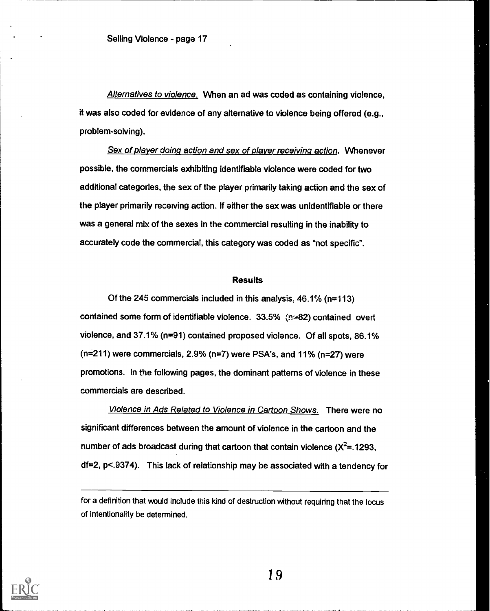Alternatives to violence. When an ad was coded as containing violence, it was also coded for evidence of any alternative to violence being offered (e.g., problem-solving).

Sex of player doing action and sex of player receiving action. Whenever possible, the commercials exhibiting identifiable violence were coded for two additional categories, the sex of the player primarily taking action and the sex of the player primarily receiving action. If either the sex was unidentifiable or there was a general mix of the sexes in the commercial resulting in the inability to accurately code the commercial, this category was coded as "not specific".

#### **Results**

Of the 245 commercials included in this analysis, 46.1% (n=113) contained some form of identifiable violence. 33.5% (n=82) contained overt violence, and 37,1% (n=91) contained proposed violence. Of all spots, 86.1% (n=211) were commercials, 2.9% (n=7) were PSA's, and 11% (n=27) were promotions. In the following pages, the dominant patterns of violence in these commercials are described.

Violence in Ads Related to Violence in Cartoon Shows. There were no significant differences between the amount of violence in the cartoon and the number of ads broadcast during that cartoon that contain violence  $(X^2=1293,$ df=2, p<.9374). This lack of relationship may be associated with a tendency for



for a definition that would include this kind of destruction without requiring that the locus of intentionality be determined.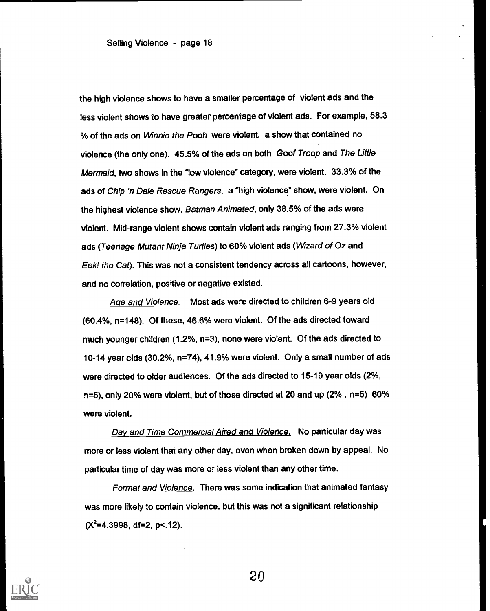the high violence shows to have a smaller percentage of violent ads and the less violent shows to have greater percentage of violent ads. For example, 58.3 % of the ads on *Winnie the Pooh* were violent, a show that contained no violence (the only one). 45.5% of the ads on both Goof Troop and The Little Mermaid, two shows in the "low violence" category, were violent. 33.3% of the ads of Chip 'n Dale Rescue Rangers, a "high violence" show, were violent. On the highest violence show, Batman Animated, only 38.5% of the ads were violent. Mid-range violent shows contain violent ads ranging from 27.3% violent ads (Teenage Mutant Ninja Turtles) to 60% violent ads (Wizard of Oz and Eek! the Cat). This was not a consistent tendency across all cartoons, however, and no correlation, positive or negative existed.

Age and Violence. Most ads were directed to children 6-9 years old (60.4%, n=148). Of these, 46.6% were violent. Of the ads directed toward much younger children (1.2%, n=3), none were violent. Of the ads directed to 10-14 year olds (30.2%, n=74), 41.9% were violent. Only a small number of ads were directed to older audiences. Of the ads directed to 15-19 year olds (2%, n=5), only 20% were violent, but of those directed at 20 and up (2% , n=5) 60% were violent.

Day and Time Commercial Aired and Violence. No particular day was more or less violent that any other day, even when broken down by appeal. No particular time of day was more or iess violent than any other time.

Format and Violence. There was some indication that animated fantasy was more likely to contain violence, but this was not a significant relationship  $(X^2=4.3998, df=2, p<12).$ 

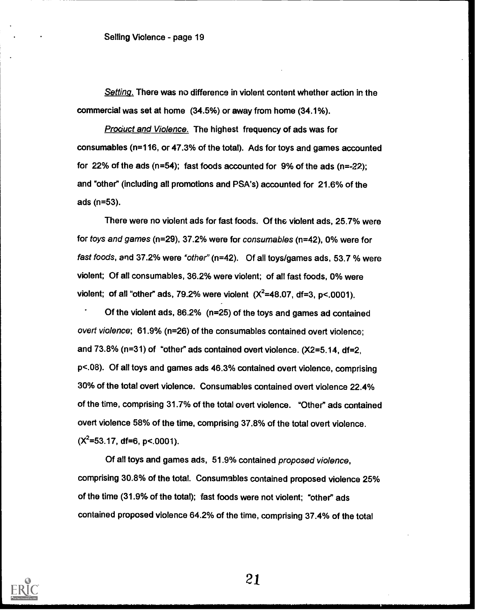Setting. There was no difference in violent content whether action in the commercial was set at home (34.5%) or away from home (34.1%).

**Product and Violence. The highest frequency of ads was for** consumables (n=116, or 47.3% of the total). Ads for toys and games accounted for 22% of the ads  $(n=54)$ ; fast foods accounted for 9% of the ads  $(n=-22)$ ; and "other" (including all promotions and PSA's) accounted for 21.6% of the ads (n=53).

There were no violent ads for fast foods. Of the violent ads, 25.7% were for toys and games (n=29), 37.2% were for consumables (n=42), 0% were for fast foods, and 37.2% were "other" (n=42). Of all toys/games ads, 53.7 % were violent; Of all consumables, 36.2% were violent; of all fast foods, 0% were violent; of all "other" ads, 79.2% were violent  $(X^2=48.07, df=3, p<.0001)$ .

Of the violent ads, 86.2% (n=25) of the toys and games ad contained overt violence; 61.9% (n=26) of the consumables contained overt violence; and 73.8% (n=31) of "other" ads contained overt violence. (X2=5.14, df=2, p<.08). Of ail toys and games ads 46.3% contained overt violence, comprising 30% of the total overt violence. Consumables contained overt violence 22.4% of the time, comprising 31.7% of the total overt violence. "Other" ads contained overt violence 58% of the time, comprising 37.8% of the total overt violence.  $(X^2=53.17, df=6, p<.0001)$ .

Of all toys and games ads, 51.9% contained proposed violence, comprising 30.8% of the total. Consumables contained proposed violence 25% of the time (31.9% of the total); fast foods were not violent; "other" ads contained proposed violence 64.2% of the time, comprising 37.4% of the total

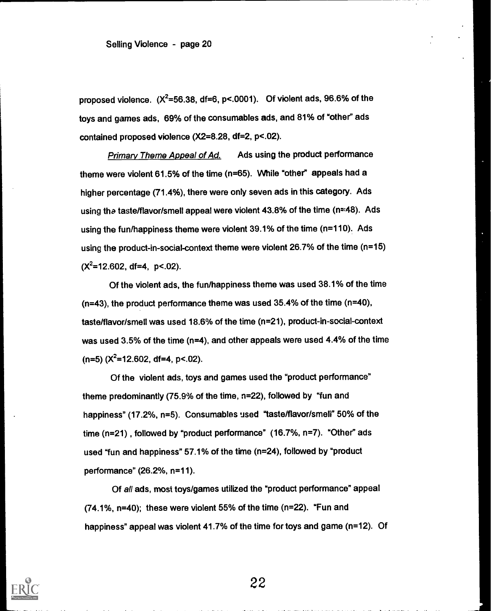proposed violence.  $(X^2=56.38, df=6, p<.0001)$ . Of violent ads, 96.6% of the toys and games ads, 69% of the consumables ads, and 81% of "other" ads contained proposed violence (X2=8.28, df=2, p<.02).

Primary Theme Appeal of Ad. Ads using the product performance theme were violent 61.5% of the time (n=65). While "other" appeals had a higher percentage (71.4%), there were only seven ads in this category. Ads using the taste/flavor/smell appeal were violent 43.8% of the time (n=48). Ads using the fun/happiness theme were violent 39.1% of the time (n=110). Ads using the product-in-social-context theme were violent 26.7% of the time (n=15)  $(X^2=12.602, df=4, p<.02)$ .

Of the violent ads, the fun/happiness theme was used 38.1% of the time (n=43), the product performance theme was used 35.4% of the time (n=40), taste/flavor/smell was used 18.6% of the time (n=21), product-in-social-context was used 3.5% of the time (n=4), and other appeals were used 4.4% of the time  $(n=5)$  ( $X^2$ =12.602, df=4, p<.02).

Of the violent ads, toys and games used the "product performance" theme predominantly (75.9% of the time, n=22), followed by "fun and happiness" (17.2%, n=5). Consumables used "taste/flavor/smell" 50% of the time (n=21) , followed by "product performance" (16.7%, n=7). "Other" ads used "fun and happiness" 57.1% of the time (n=24), followed by "product performance" (26.2%, n=11).

Of all ads, most toys/games utilized the "product performance" appeal (74.1%, n=40); these were violent 55% of the time (n=22). "Fun and happiness" appeal was violent 41.7% of the time for toys and game (n=12). Of

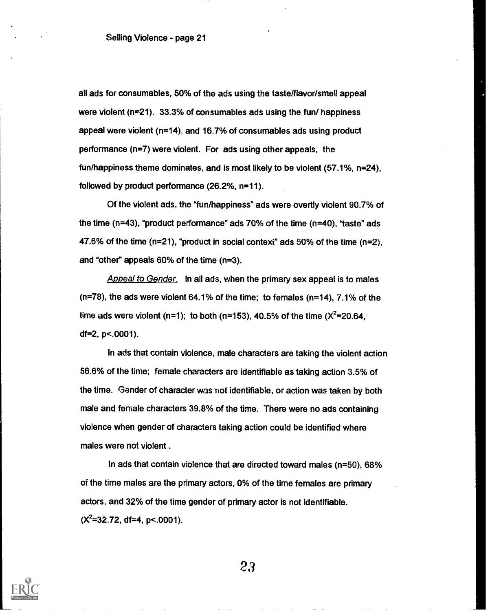all ads for consumables, 50% of the ads using the taste/flavor/smell appeal were violent ( $n=21$ ). 33.3% of consumables ads using the fun/ happiness appeal were violent (n=14), and 16.7% of consumables ads using product performance (n=7) were violent. For ads using other appeals, the fun/happiness theme dominates, and is most likely to be violent (57.1%, n=24), followed by product performance (26.2%, n=11).

Of the violent ads, the "fun/happiness" ads were overtly Violent 90.7% of the time (n=43), "product performance" ads 70% of the time (n=40), "taste" ads 47.6% of the time (n=21), "product in social context" ads 50% of the time (n=2), and "other" appeals 60% of the time (n=3).

Appeal to Gender. In all ads, when the primary sex appeal is to males (n=78), the ads were violent 64.1% of the time; to females (n=14), 7.1% of the time ads were violent (n=1); to both (n=153), 40.5% of the time  $(X^2=20.64)$ . df=2, p<.0001).

In ads that contain violence, male characters are taking the violent action 56.6% of the time; female characters are identifiable as taking action 3.5% of the time. Gender of character was riot identifiable, or action was taken by both male and female characters 39.8% of the time. There were no ads containing violence when gender of characters taking action could be identified where males were not violent .

In ads that contain violence that are directed toward males (n=50), 68% of the time males are the primary actors, 0% of the time females are primary actors, and 32% of the time gender of primary actor is not identifiable.  $(X^2=32.72, df=4, p<.0001)$ .

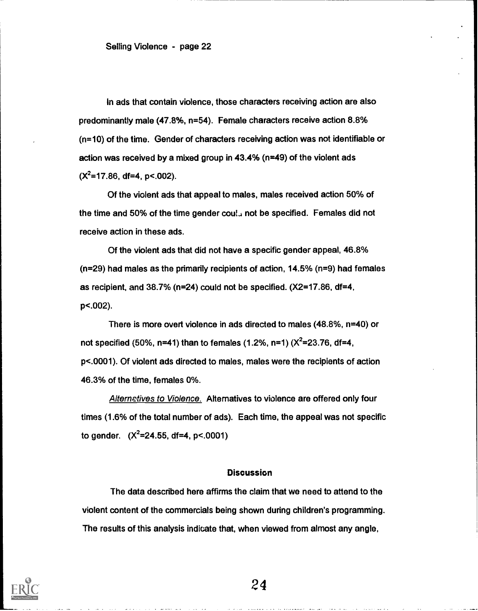In ads that contain violence, those characters receiving action are also predominantly male (47.8%, n=54). Female characters receive action 8.8% (n=10) of the time. Gender of characters receiving action was not identifiable or action was received by a mixed group in 43.4% (n=49) of the violent ads  $(X^2=17.86, df=4, p<.002)$ .

Of the violent ads that appeal to males, males received action 50% of the time and 50% of the time gender coul. not be specified. Females did not receive action in these ads.

Of the violent ads that did not have a specific gender appeal, 46.8% (n=29) had males as the primarily recipients of action, 14.5% (n=9) had females as recipient, and 38.7% (n=24) could not be specified. (X2=17.86, df=4, p<.002).

There is more overt violence in ads directed to males (48.8%, n=40) or not specified (50%, n=41) than to females (1.2%, n=1)  $(X^2=23.76, df=4,$ p<.0001). Of violent ads directed to males, males were the recipients of action 46.3% of the time, females 0%.

Alternetives to Violence. Alternatives to violence are offered only four times (1.6% of the total number of ads). Each time, the appeal was not specific to gender.  $(X^2=24.55, df=4, p<.0001)$ 

## **Discussion**

The data described here affirms the claim that we need to attend to the violent content of the commercials being shown during children's programming. The results of this analysis indicate that, when viewed from almost any angle,

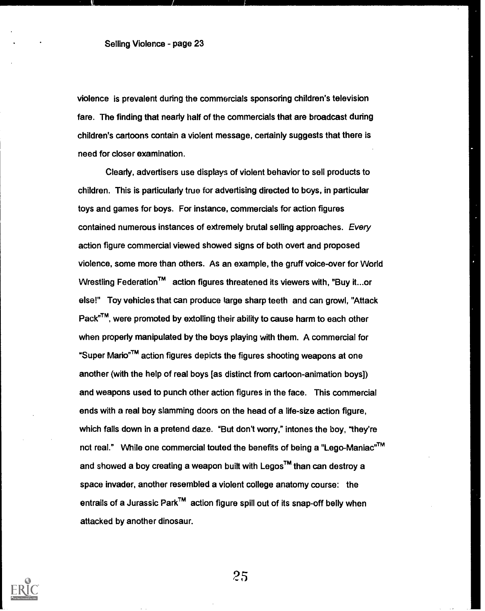violence is prevalent during the commercials sponsoring children's television fare. The finding that nearly half of the commercials that are broadcast during children's cartoons contain a violent message, certainly suggests that there is need for closer examination.

Clearly, advertisers use displays of violent behavior to sell products to children. This is particularly true for advertising directed to boys, in particular toys and games for boys. For instance, commercials for action figures contained numerous instances of extremely brutal selling approaches. Every action figure commercial viewed showed signs of both overt and proposed violence, some more than others. As an example, the gruff voice-over for World Wrestling Federation™ action figures threatened its viewers with, "Buy it...or else!" Toy vehicles that can produce large sharp teeth and can growl, "Attack Pack<sup>nM</sup>, were promoted by extolling their ability to cause harm to each other when properly manipulated by the boys playing with them. A commercial for "Super Mario<sup>"™</sup> action figures depicts the figures shooting weapons at one another (with the help of real boys [as distinct from cartoon-animation boys]) and weapons used to punch other action figures in the face. This commercial ends with a real boy slamming doors on the head of a life-size action figure, which falls down in a pretend daze. "But don't worry," intones the boy, "they're not real." While one commercial touted the benefits of being a "Lego-Maniac"<sup>TM</sup> and showed a boy creating a weapon built with Legos<sup>TM</sup> than can destroy a space invader, another resembled a violent college anatomy course: the entrails of a Jurassic Park<sup>TM</sup> action figure spill out of its snap-off belly when attacked by another dinosaur.

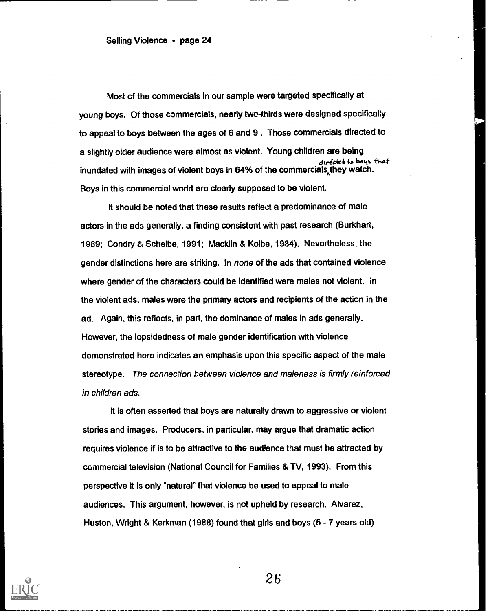Most of the commercials in our sample were targeted specifically at young boys. Of those commercials, nearly two-thirds were designed specifically to appeal to boys between the ages of 6 and 9 . Those commercials directed to a slightly older audience were almost as violent. Young children are being directed to boys that inundated with images of violent boys in 64% of the commercials they watch. Boys in this commercial world are clearly supposed to be violent.

It should be noted that these results reflect a predominance of male actors in the ads generally, a finding consistent with past research (Burkhart, 1989; Condry & Scheibe, 1991; Macklin & Kolbe, 1984). Nevertheless, the gender distinctions here are striking. In none of the ads that contained violence where gender of the characters could be identified were males not violent. in the violent ads, males were the primary actors and recipients of the action in the ad. Again, this reflects, in part, the dominance of males in ads generally. However, the lopsidedness of male gender identification with violence demonstrated here indicates an emphasis upon this specific aspect of the male stereotype. The connection between violence and maleness is firmly reinforced in children ads.

It is often asserted that boys are naturally drawn to aggressive or violent stories and images. Producers, in particular, may argue that dramatic action requires violence if is to be attractive to the audience that must be attracted by commercial television (National Council for Families & TV, 1993). From this perspective it is only "natural" that violence be used to appeal to male audiences. This argument, however, is not upheld by research. Alvarez, Huston, Wright & Kerkman (1988) found that girls and boys (5 - 7 years old)

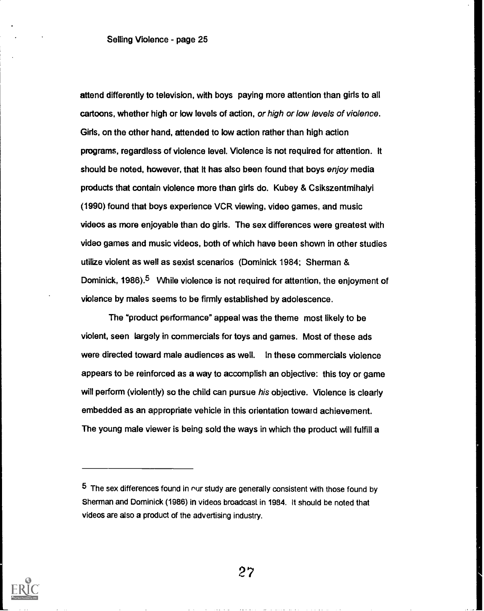attend differently to television, with boys paying more attention than girls to all cartoons, whether high or low levels of action, or high or low levels of violence. Girls, on the other hand, attended to low action rather than high action programs, regardless of violence level. Violence is not required for attention. It should be noted, however, that It has also been found that boys enjoy media products that contain violence more than girls do. Kubey & Csikszentmihalyi (1990) found that boys experience VCR viewing, video games, and music videos as more enjoyable than do girls. The sex differences were greatest with video games and music videos, both of which have been shown in other studies utilize violent as well as sexist scenarios (Dominick 1984; Sherman & Dominick, 1986).<sup>5</sup> While violence is not required for attention, the enjoyment of violence by males seems to be firmly established by adolescence.

The "product performance" appeal was the theme most likely to be violent, seen largely in commercials for toys and games. Most of these ads were directed toward male audiences as well. In these commercials violence appears to be reinforced as a way to accomplish an objective: this toy or game will perform (violently) so the child can pursue his objective. Violence is clearly embedded as an appropriate vehicle in this orientation toward achievement. The young male viewer is being sold the ways in which the product will fulfill a



 $5$  The sex differences found in our study are generally consistent with those found by Sherman and Dominick (1986) in videos broadcast in 1984. It should be noted that videos are also a product of the advertising industry.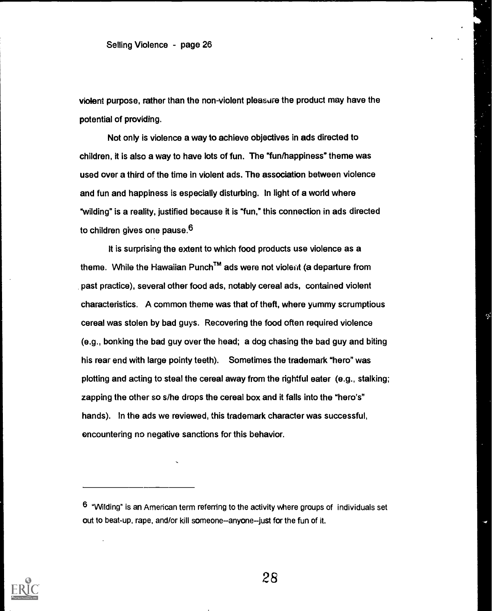violent purpose, rather than the non-violent pleasure the product may have the potential of providing.

Not only is violence a way to achieve objectives in ads directed to children, it is also a way to have lots of fun. The "fun/happiness" theme was used over a third of the time in violent ads. The association between violence and fun and happiness is especially disturbing. In light of a world where "wilding" is a reality, justified because it is "fun," this connection in ads directed to children gives one pause.<sup>6</sup>

It is surprising the extent to which food products use violence as a theme. While the Hawaiian Punch<sup>TM</sup> ads were not violent (a departure from past practice), several other food ads, notably cereal ads, contained violent characteristics. A common theme was that of theft, where yummy scrumptious cereal was stolen by bad guys. Recovering the food often required violence (e.g., bonking the bad guy over the head; a dog chasing the bad guy and biting his rear end with large pointy teeth). Sometimes the trademark "hero" was plotting and acting to steal the cereal away from the rightful eater (e.g., stalking; zapping the other so s/he drops the cereal box and it falls into the "hero's" hands). In the ads we reviewed, this trademark character was successful, encountering no negative sanctions for this behavior.



 $6$  "Wilding" is an American term referring to the activity where groups of individuals set out to beat-up, rape, and/or kill someone-anyone-just for the fun of it.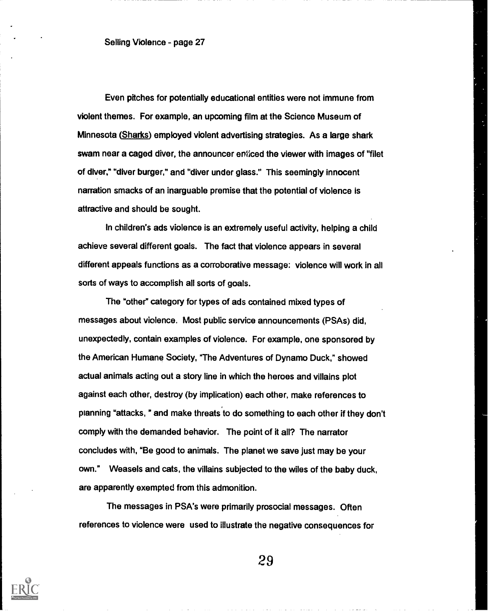Even pitches for potentially educational entities were not immune from violent themes. For example, an upcoming film at the Science Museum of Minnesota (Sharks) employed violent advertising strategies. As a large shark swam near a caged diver, the announcer enticed the viewer with images of "filet of diver," "diver burger," and "diver under glass." This seemingly innocent narration smacks of an inarguable premise that the potential of violence is attractive and should be sought.

In children's ads violence is an extremely useful activity, helping a child achieve several different goals. The fact that violence appears in several different appeals functions as a corroborative message: violence will work in all sorts of ways to accomplish all sorts of goals.

The "other" category for types of ads contained mixed types of messages about violence. Most public service announcements (PSAs) did, unexpectedly, contain examples of violence. For example, one sponsored by the American Humane Society, "The Adventures of Dynamo Duck," showed actual animals acting out a story line in which the heroes and villains plot against each other, destroy (by implication) each other, make references to planning "attacks," and make threats to do something to each other if they don't comply with the demanded behavior. The point of it all? The narrator concludes with, "Be good to animals. The planet we save just may be your own." Weasels and cats, the villains subjected to the wiles of the baby duck, are apparently exempted from this admonition.

The messages in PSA's were primarily prosocial messages. Often references to violence were used to illustrate the negative consequences for

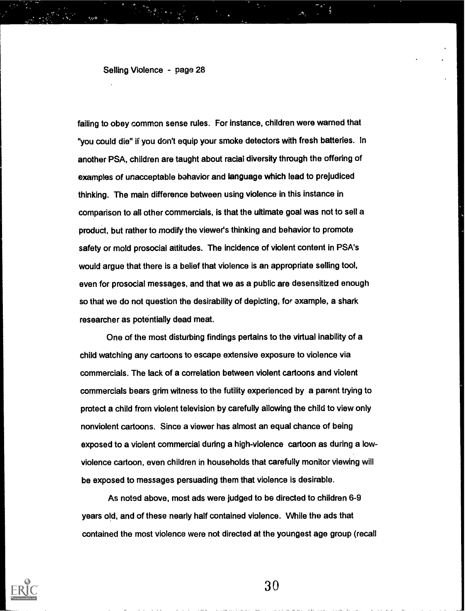failing to obey common sense rules. For instance, children were warned that "you could die" if you don't equip your smoke detectors with fresh batteries. In another PSA, children are taught about racial diversity through the offering of examples of unacceptable bahavior and language which lead to prejudiced thinking. The main difference between using violence in this instance in comparison to all other commercials, is that the ultimate goal was not to sell a product, but rather to modify the viewer's thinking and behavior to promote safety or mold prosocial attitudes. The incidence of violent content in PSA's would argue that there is a belief that violence is an appropriate selling tool, even for prosocial messages, and that we as a public are desensitized enough so that we do not question the desirability of depicting, for axample, a shark researcher as potentially dead meat.

One of the most disturbing findings pertains to the virtual inability of a child watching any cartoons to escape extensive exposure to violence via commercials. The lack of a correlation between violent cartoons and violent commercials bears grim witness to the futility experienced by a parent trying to protect a child from violent television by carefully allowing the child to view only nonviolent cartoons. Since a viewer has almost an equal chance of being exposed to a violent commercial during a high-violence cartoon as during a lowviolence cartoon, even children in households that carefully monitor viewing will be exposed to messages persuading them that violence is desirable.

As noted above, most ads were judged to be directed to children 6-9 years old, and of these nearly half contained violence. While the ads that contained the most violence were not directed at the youngest age group (recall

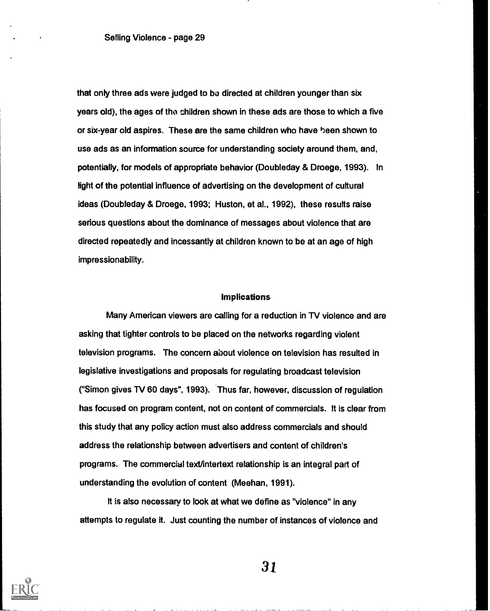that only three ads were judged to be directed at children younger than six years old), the ages of the children shown in these ads are those to which a five or six-year old aspires. These are the same children who have heen shown to use ads as an information source for understanding society around them, and, potentially, for models of appropriate behavior (Doubleday & Droege, 1993). In fight of the potential influence of advertising on the development of cultural ideas (Doubleday & Droege, 1993; Huston, et al., 1992), these results raise serious questions about the dominance of messages about violence that are directed repeatedly and incessantly at children known to be at an age of high impressionability.

### Implications

Many American viewers are calling for a reduction in TV violence and are asking that tighter controls to be placed on the networks regarding violent television programs. The concern about violence on television has resulted in legislative investigations and proposals for regulating broadcast television ("Simon gives TV 60 days", 1993). Thus far, however, discussion of regulation has focused on program content, not on content of commercials. It is clear from this study that any policy action must also address commercials and should address the relationship between advertisers and content of children's programs. The commercial text/intertext relationship is an integral part of understanding the evolution of content (Meehan, 1991).

It is also necessary to look at what we define as "violence" in any attempts to regulate it. Just counting the number of instances of violence and

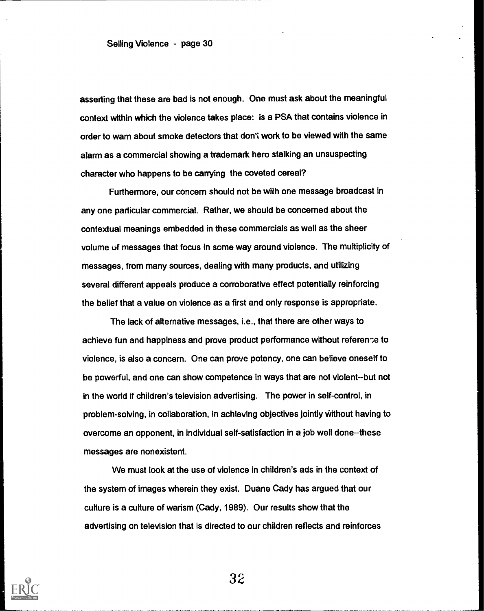asserting that these are bad is not enough. One must ask about the meaningful context within which the violence takes place: is a PSA that contains violence in order to warn about smoke detectors that don't work to be viewed with the same alarm as a commercial showing a trademark hero stalking an unsuspecting character who happens to be carrying the coveted cereal?

Furthermore, our concern should not be with one message broadcast in any one particular commercial. Rather, we should be concerned about the contextual meanings embedded in these commercials as well as the sheer volume of messages that focus in some way around violence. The multiplicity of messages, from many sources, dealing with many products, and utilizing several different appeals produce a corroborative effect potentially reinforcing the belief that a value on violence as a first and only response is appropriate.

The lack of alternative messages, i.e., that there are other ways to achieve fun and happiness and prove product performance without reference to violence, is also a concern. One can prove potency, one can believe oneself to be powerful, and one can show competence in ways that are not violent--but not in the world if children's television advertising. The power in self-control, in problem-solving, in collaboration, in achieving objectives jointly Without having to overcome an opponent, in individual self-satisfaction in a job well done--these messages are nonexistent.

We must look at the use of violence in children's ads in the context of the system of images wherein they exist. Duane Cady has argued that our culture is a cullure of warism (Cady, 1989). Our results show that the advertising on television that is directed to our children reflects and reinforces

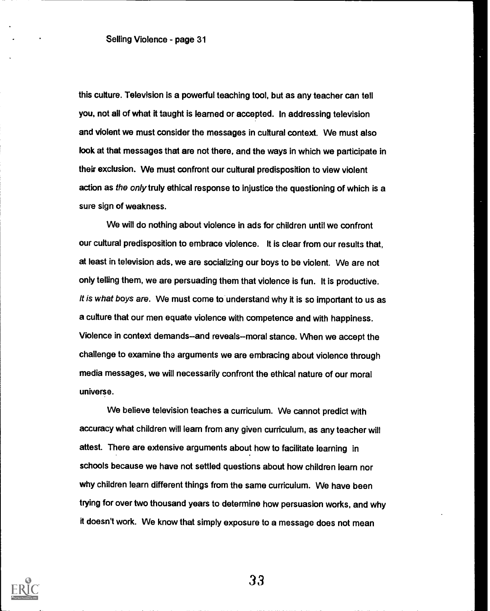this culture. Television is a powerful teaching tool, but as any teacher can tell you, not all of what it taught is learned or accepted. In addressing television and violent we must consider the messages in cultural context. We must also look at that messages that are not there, and the ways in which we participate in their exclusion. We must confront our cultural predisposition to view violent action as the only truly ethical response to injustice the questioning of which is a sure sign of weakness.

We will do nothing about violence in ads for children until we confront our cultural predisposition to embrace violence. It is clear from our results that, at least in television ads, we are socializing our boys to be violent. We are not only telling them, we are persuading them that violence is fun. It is productive. /t is what boys are. We must come to understand why it is so important to us as a culture that our men equate violence with competence and with happiness. Violence in context demands-and reveals--moral stance. When we accept the challenge to examine the arguments we are embracing about violence through media messages, we will necessarily confront the ethical nature of our moral universe.

We believe television teaches a curriculum. We cannot predict with accuracy what children will learn from any given curriculum, as any teacher will attest. There are extensive arguments about how to facilitate learning in schools because we have not settled questions about how children learn nor why children learn different things from the same curriculum. We have been trying for over two thousand years to determine how persuasion works, and why it doesn't work. We know that simply exposure to a message does not mean

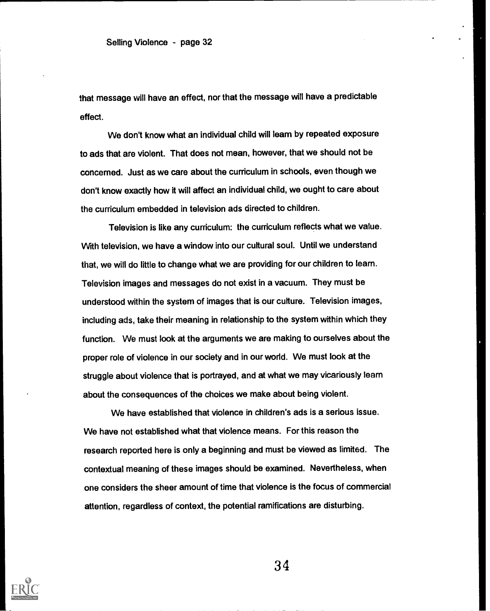that message will have an effect, nor that the message will have a predictable effect.

We don't know what an individual child will learn by repeated exposure to ads that are violent. That does not mean, however, that we should not be concerned. Just as we care about the curriculum in schools, even though we don't know exactly how it will affect an individual child, we ought to care about the curriculum embedded in television ads directed to children.

Television is like any curriculum: the curriculum reflects what we value. With television, we have a window into our cultural soul. Until we understand that, we will do little to change what we are providing for our children to learn. Television images and messages do not exist in a vacuum. They must be understood within the system of images that is our culture. Television images, including ads, take their meaning in relationship to the system within which they function. We must look at the arguments we are making to ourselves about the proper role of violence in our society and in our world. We must look at the struggle about violence that is portrayed, and at what we may vicariously learn about the consequences of the choices we make about being violent.

We have established that violence in children's ads is a serious issue. We have not established what that violence means. For this reason the research reported here is only a beginning and must be viewed as limited. The contextual meaning of these images should be examined. Nevertheless, when one considers the sheer amount of time that violence is the focus of commercial attention, regardless of context, the potential ramifications are disturbing.

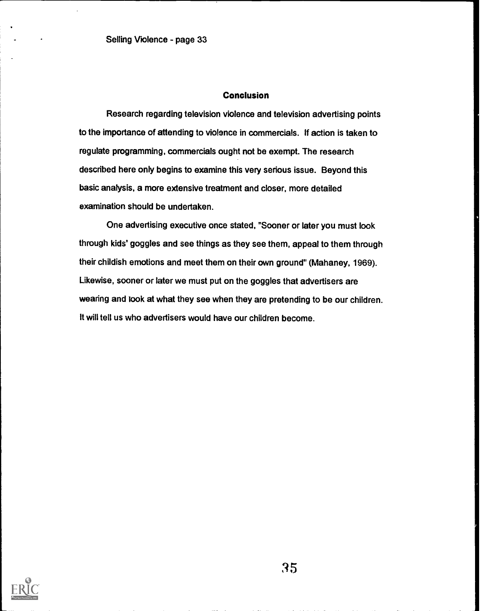## **Conclusion**

Research regarding television violence and television advertising points to the importance of attending to violence in commercials. If action is taken to regulate programming, commercials ought not be exempt. The research described here only begins to examine this very serious issue. Beyond this basic analysis, a more extensive treatment and closer, more detailed examination should be undertaken.

One advertising executive once stated, "Sooner or later you must look through kids' goggles and see things as they see them, appeal to them through their childish emotions and meet them on their own ground" (Mahaney, 1969). Likewise, sooner or later we must put on the goggles that advertisers are wearing and look at what they see when they are pretending to be our children. It will tell us who advertisers would have our children become.

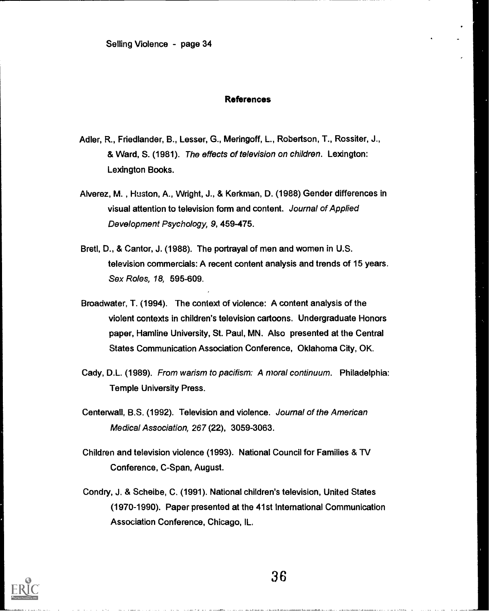### **References**

- Adler, R., Friedlander, B., Lesser, G., Meringoff, L., Robertson, T., Rossiter, J., & Ward, S. (1981). The effects of television on children. Lexington: Lexington Books.
- Alverez, M. , Huston, A., Wright, J., & Kerkrnan, D. (1988) Gender differences in visual attention to television form and content. Journal of Applied Development Psychology, 9, 459-475.
- Bretl, D., & Cantor, J. (1988). The portrayal of men and women in U.S. television commercials: A recent content analysis and trends of 15 years. Sex Roles, 18, 595-609.
- Broadwater, T. (1994). The context of violence: A content analysis of the violent contexts in children's television cartoons. Undergraduate Honors paper, Hemline University, St. Paul, MN. Also presented at the Central States Communication Association Conference, Oklahoma City, OK.
- Cady, D.L. (1989). From warism to pacifism: A moral continuum. Philadelphia: Temple University Press.
- Centerwall, B.S. (1992). Television and violence. Journal of the American Medical Association, 267 (22), 3059-3063.
- Children and television violence (1993). National Council for Families & TV Conference, C-Span, August.
- Condiy, J. & Scheibe, C. (1991). National children's television, United States (1970-1990). Paper presented at the 41st International Communication Association Conference, Chicago, IL.

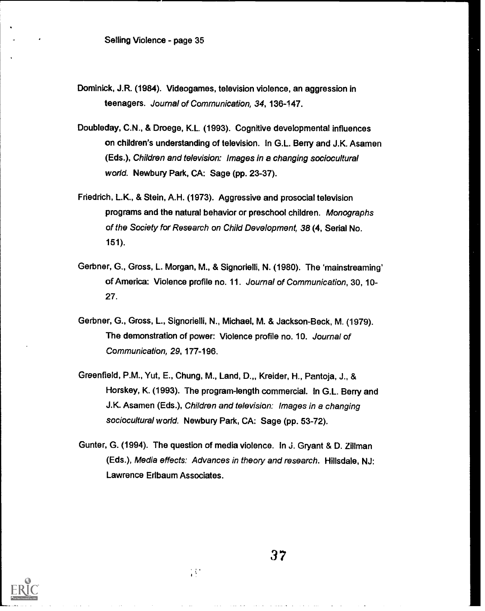- Dominick, J.R. (1984). Videogames, television violence, an aggression in teenagers. Journal of Communication, 34, 136-147.
- Doubleday, C.N., & Droege, K.L. (1993). Cognitive developmental influences on children's understanding of television. In G.L. Berry and J.K. Asamen (Eds.), Children and television: Images in a changing sociocultural world. Newbury Park, CA: Sage (pp. 23-37).
- Friedrich, L.K., & Stein, A.H. (1973). Aggressive and prosocial television programs and the natural behavior or preschool children. Monographs of the Society for Research on Child Development, 38 (4, Serial No. 151).
- Gerbner, G., Gross, L. Morgan, M., & Signorielli, N. (1980). The 'mainstreaming' of America: Violence profile no. 11. Journal of Communication, 30, 10- 27.
- Gerbner, G., Gross, L., Signorielli, N., Michael, M. & Jackson-Beck, M. (1979). The demonstration of power: Violence profile no. 10. Journal of Communication, 29, 177-196.
- Greenfield, P.M., Yut, E., Chung, M., Land, D. Kreider, H., Pantoja, J., & Horskey, K. (1993). The program-length commercial. In G.L. Berry and J.K. Asamen (Eds.), Children and television: Images in a changing sociocultural world. Newbury Park, CA: Sage (pp. 53-72).
- Gunter, G. (1994). The question of media violence. In J. Gryant & D. Zillman (Eds.), Media effects: Advances in theory and research. Hillsdale, NJ: Lawrence Erlbaum Associates.

 $\mathcal{M}$ 

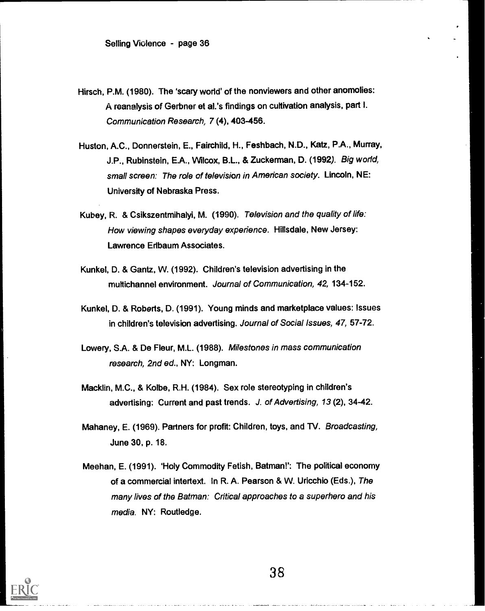- Hirsch, P.M. (1980). The 'scary world' of the nonviewers and other anomolies: A reanalysis of Gerbner et al.'s findings on cultivation analysis, part I. Communication Research, 7 (4), 403-456.
- Huston, A.C., Donnerstein, E., Fairchild, H., Feshbach, N.D., Katz, P.A., Murray, J.P., Rubinstein, E.A., Wilcox, B.L., & Zuckerman, D. (1992). Big world, small screen: The role of television in American society. Lincoln, NE: University of Nebraska Press.
- Kubey, R. & Csikszentmihalyi, M. (1990). Television and the quality of life: How viewing shapes everyday experience. Hillsdale, New Jersey: Lawrence Erlbaum Associates.
- Kunkel, D. & Gantz, W. (1992). Children's television advertising in the multichannel environment. Journal of Communication, 42, 134-152.
- Kunkel, D. & Roberts, D. (1991). Young minds and marketplace values: Issues in children's television advertising. Journal of Social Issues, 47, 57-72.
- Lowery, S.A. & De Fleur, M.L. (1988). Milestones in mass communication research, 2nd ed., NY: Longman.
- Macklin, M.C., & Kolbe, R.H. (1984). Sex role stereotyping in children's advertising: Current and past trends. J. of Advertising, 13 (2), 34-42.
- Mahaney, E. (1969). Partners for profit: Children, toys, and TV. Broadcasting, June 30, p. 18.
- Meehan, E. (1991). 'Holy Commodity Fetish, Batman!': The political economy of a commercial intertext. In R. A. Pearson & W. Uricchio (Eds.), The many lives of the Batman: Critical approaches to a superhero and his media. NY: Routledge.